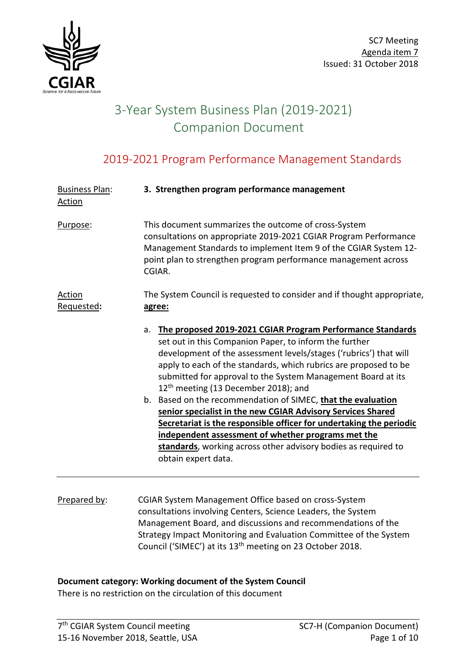

# 3-Year System Business Plan (2019-2021) Companion Document

## 2019-2021 Program Performance Management Standards

| <b>Business Plan:</b><br><b>Action</b> | 3. Strengthen program performance management                                                                                                                                                                                                                                                                                                                                                                                                                                                                                                                                                                                                                                                                                                 |  |
|----------------------------------------|----------------------------------------------------------------------------------------------------------------------------------------------------------------------------------------------------------------------------------------------------------------------------------------------------------------------------------------------------------------------------------------------------------------------------------------------------------------------------------------------------------------------------------------------------------------------------------------------------------------------------------------------------------------------------------------------------------------------------------------------|--|
| Purpose:                               | This document summarizes the outcome of cross-System<br>consultations on appropriate 2019-2021 CGIAR Program Performance<br>Management Standards to implement Item 9 of the CGIAR System 12-<br>point plan to strengthen program performance management across<br>CGIAR.                                                                                                                                                                                                                                                                                                                                                                                                                                                                     |  |
| Action<br>Requested:                   | The System Council is requested to consider and if thought appropriate,<br>agree:                                                                                                                                                                                                                                                                                                                                                                                                                                                                                                                                                                                                                                                            |  |
|                                        | The proposed 2019-2021 CGIAR Program Performance Standards<br>a.<br>set out in this Companion Paper, to inform the further<br>development of the assessment levels/stages ('rubrics') that will<br>apply to each of the standards, which rubrics are proposed to be<br>submitted for approval to the System Management Board at its<br>12 <sup>th</sup> meeting (13 December 2018); and<br>b. Based on the recommendation of SIMEC, that the evaluation<br>senior specialist in the new CGIAR Advisory Services Shared<br>Secretariat is the responsible officer for undertaking the periodic<br>independent assessment of whether programs met the<br>standards, working across other advisory bodies as required to<br>obtain expert data. |  |

Prepared by: CGIAR System Management Office based on cross-System consultations involving Centers, Science Leaders, the System Management Board, and discussions and recommendations of the Strategy Impact Monitoring and Evaluation Committee of the System Council ('SIMEC') at its 13<sup>th</sup> meeting on 23 October 2018.

#### **Document category: Working document of the System Council**

There is no restriction on the circulation of this document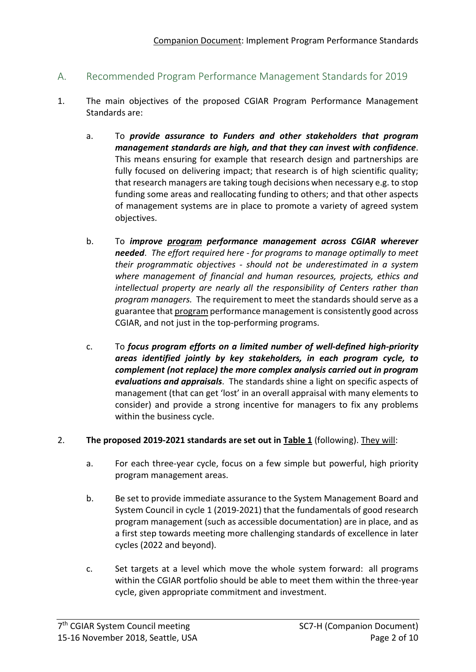### A. Recommended Program Performance Management Standards for 2019

- 1. The main objectives of the proposed CGIAR Program Performance Management Standards are:
	- a. To *provide assurance to Funders and other stakeholders that program management standards are high, and that they can invest with confidence*. This means ensuring for example that research design and partnerships are fully focused on delivering impact; that research is of high scientific quality; that research managers are taking tough decisions when necessary e.g. to stop funding some areas and reallocating funding to others; and that other aspects of management systems are in place to promote a variety of agreed system objectives.
	- b. To *improve program performance management across CGIAR wherever needed*. *The effort required here - for programs to manage optimally to meet their programmatic objectives - should not be underestimated in a system where management of financial and human resources, projects, ethics and intellectual property are nearly all the responsibility of Centers rather than program managers.* The requirement to meet the standards should serve as a guarantee that program performance management is consistently good across CGIAR, and not just in the top-performing programs.
	- c. To *focus program efforts on a limited number of well-defined high-priority areas identified jointly by key stakeholders, in each program cycle, to complement (not replace) the more complex analysis carried out in program evaluations and appraisals*. The standards shine a light on specific aspects of management (that can get 'lost' in an overall appraisal with many elements to consider) and provide a strong incentive for managers to fix any problems within the business cycle.

#### 2. **The proposed 2019-2021 standards are set out in [Table 1](#page-5-0)** (following). They will:

- a. For each three-year cycle, focus on a few simple but powerful, high priority program management areas.
- b. Be set to provide immediate assurance to the System Management Board and System Council in cycle 1 (2019-2021) that the fundamentals of good research program management (such as accessible documentation) are in place, and as a first step towards meeting more challenging standards of excellence in later cycles (2022 and beyond).
- c. Set targets at a level which move the whole system forward: all programs within the CGIAR portfolio should be able to meet them within the three-year cycle, given appropriate commitment and investment.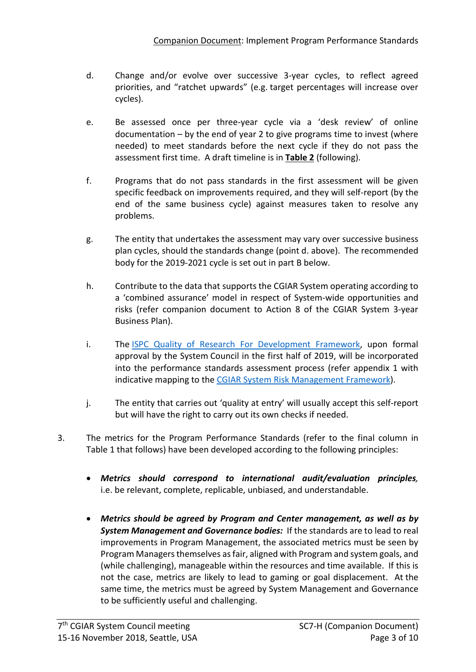- d. Change and/or evolve over successive 3-year cycles, to reflect agreed priorities, and "ratchet upwards" (e.g. target percentages will increase over cycles).
- e. Be assessed once per three-year cycle via a 'desk review' of online documentation – by the end of year 2 to give programs time to invest (where needed) to meet standards before the next cycle if they do not pass the assessment first time. A draft timeline is in **[Table 2](#page-6-0)** (following).
- f. Programs that do not pass standards in the first assessment will be given specific feedback on improvements required, and they will self-report (by the end of the same business cycle) against measures taken to resolve any problems.
- g. The entity that undertakes the assessment may vary over successive business plan cycles, should the standards change (point d. above). The recommended body for the 2019-2021 cycle is set out in part B below.
- h. Contribute to the data that supports the CGIAR System operating according to a 'combined assurance' model in respect of System-wide opportunities and risks (refer companion document to Action 8 of the CGIAR System 3-year Business Plan).
- i. The [ISPC Quality of Research For Development Framework,](https://ispc.cgiar.org/sites/default/files/pdf/ispc_brief_62_qord.pdf) upon formal approval by the System Council in the first half of 2019, will be incorporated into the performance standards assessment process (refer appendix 1 with indicative mapping to the [CGIAR System Risk Management Framework\)](https://www.cgiar.org/wp/wp-content/uploads/2018/01/Risk-Management-Framework-APPROVED.pdf).
- j. The entity that carries out 'quality at entry' will usually accept this self-report but will have the right to carry out its own checks if needed.
- 3. The metrics for the Program Performance Standards (refer to the final column in Table 1 that follows) have been developed according to the following principles:
	- *Metrics should correspond to international audit/evaluation principles,*  i.e. be relevant, complete, replicable, unbiased, and understandable.
	- *Metrics should be agreed by Program and Center management, as well as by System Management and Governance bodies:* If the standards are to lead to real improvements in Program Management, the associated metrics must be seen by Program Managers themselves as fair, aligned with Program and system goals, and (while challenging), manageable within the resources and time available. If this is not the case, metrics are likely to lead to gaming or goal displacement. At the same time, the metrics must be agreed by System Management and Governance to be sufficiently useful and challenging.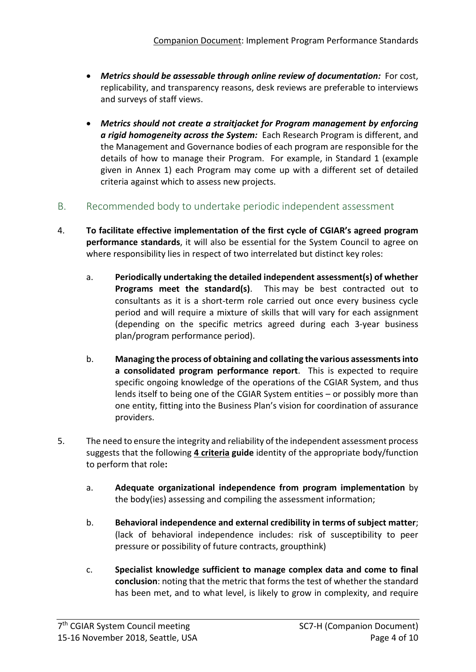- *Metrics should be assessable through online review of documentation:* For cost, replicability, and transparency reasons, desk reviews are preferable to interviews and surveys of staff views.
- *Metrics should not create a straitjacket for Program management by enforcing a rigid homogeneity across the System:* Each Research Program is different, and the Management and Governance bodies of each program are responsible for the details of how to manage their Program. For example, in Standard 1 (example given in Annex 1) each Program may come up with a different set of detailed criteria against which to assess new projects.
- B. Recommended body to undertake periodic independent assessment
- 4. **To facilitate effective implementation of the first cycle of CGIAR's agreed program performance standards**, it will also be essential for the System Council to agree on where responsibility lies in respect of two interrelated but distinct key roles:
	- a. **Periodically undertaking the detailed independent assessment(s) of whether Programs meet the standard(s)**. This may be best contracted out to consultants as it is a short-term role carried out once every business cycle period and will require a mixture of skills that will vary for each assignment (depending on the specific metrics agreed during each 3-year business plan/program performance period).
	- b. **Managing the process of obtaining and collating the various assessments into a consolidated program performance report**. This is expected to require specific ongoing knowledge of the operations of the CGIAR System, and thus lends itself to being one of the CGIAR System entities – or possibly more than one entity, fitting into the Business Plan's vision for coordination of assurance providers.
- 5. The need to ensure the integrity and reliability of the independent assessment process suggests that the following **4 criteria guide** identity of the appropriate body/function to perform that role**:**
	- a. **Adequate organizational independence from program implementation** by the body(ies) assessing and compiling the assessment information;
	- b. **Behavioral independence and external credibility in terms of subject matter**; (lack of behavioral independence includes: risk of susceptibility to peer pressure or possibility of future contracts, groupthink)
	- c. **Specialist knowledge sufficient to manage complex data and come to final conclusion**: noting that the metric that forms the test of whether the standard has been met, and to what level, is likely to grow in complexity, and require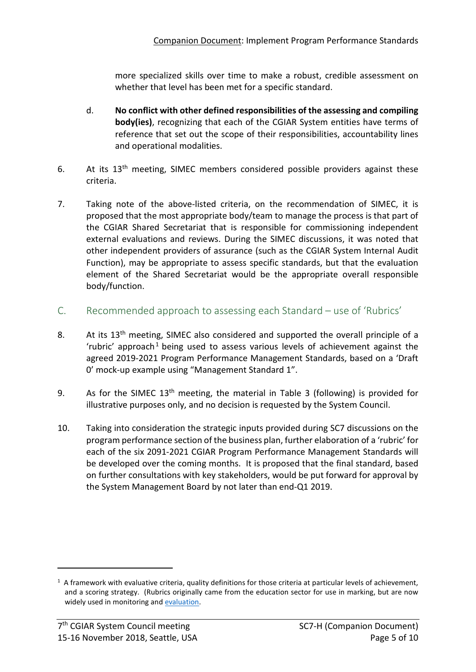more specialized skills over time to make a robust, credible assessment on whether that level has been met for a specific standard.

- d. **No conflict with other defined responsibilities of the assessing and compiling body(ies)**, recognizing that each of the CGIAR System entities have terms of reference that set out the scope of their responsibilities, accountability lines and operational modalities.
- 6. At its 13<sup>th</sup> meeting, SIMEC members considered possible providers against these criteria.
- 7. Taking note of the above-listed criteria, on the recommendation of SIMEC, it is proposed that the most appropriate body/team to manage the process is that part of the CGIAR Shared Secretariat that is responsible for commissioning independent external evaluations and reviews. During the SIMEC discussions, it was noted that other independent providers of assurance (such as the CGIAR System Internal Audit Function), may be appropriate to assess specific standards, but that the evaluation element of the Shared Secretariat would be the appropriate overall responsible body/function.
- C. Recommended approach to assessing each Standard use of 'Rubrics'
- 8. At its 13<sup>th</sup> meeting, SIMEC also considered and supported the overall principle of a  $'$ rubric' approach<sup>[1](#page-4-0)</sup> being used to assess various levels of achievement against the agreed 2019-2021 Program Performance Management Standards, based on a 'Draft 0' mock-up example using "Management Standard 1".
- 9. As for the SIMEC  $13<sup>th</sup>$  meeting, the material in Table 3 (following) is provided for illustrative purposes only, and no decision is requested by the System Council.
- 10. Taking into consideration the strategic inputs provided during SC7 discussions on the program performance section of the business plan, further elaboration of a 'rubric' for each of the six 2091-2021 CGIAR Program Performance Management Standards will be developed over the coming months. It is proposed that the final standard, based on further consultations with key stakeholders, would be put forward for approval by the System Management Board by not later than end-Q1 2019.

<u>.</u>

<span id="page-4-0"></span> $1$  A framework with evaluative criteria, quality definitions for those criteria at particular levels of achievement, and a scoring strategy. (Rubrics originally came from the education sector for use in marking, but are now widely used in monitoring and [evaluation.](https://www.betterevaluation.org/en/evaluation-options/rubrics)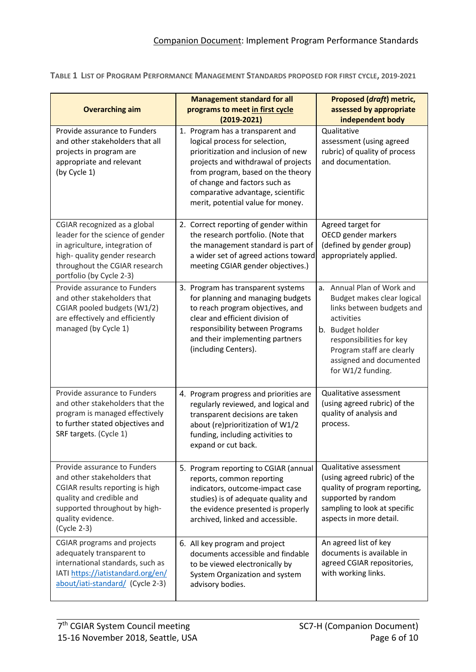<span id="page-5-0"></span>**TABLE 1 LIST OF PROGRAM PERFORMANCE MANAGEMENT STANDARDS PROPOSED FOR FIRST CYCLE, 2019-2021**

| <b>Overarching aim</b>                                                                                                                                                                           | <b>Management standard for all</b><br>programs to meet in first cycle<br>$(2019 - 2021)$                                                                                                                                                                                                         | Proposed (draft) metric,<br>assessed by appropriate<br>independent body                                                                                                                                                          |
|--------------------------------------------------------------------------------------------------------------------------------------------------------------------------------------------------|--------------------------------------------------------------------------------------------------------------------------------------------------------------------------------------------------------------------------------------------------------------------------------------------------|----------------------------------------------------------------------------------------------------------------------------------------------------------------------------------------------------------------------------------|
| Provide assurance to Funders<br>and other stakeholders that all<br>projects in program are<br>appropriate and relevant<br>(by Cycle 1)                                                           | 1. Program has a transparent and<br>logical process for selection,<br>prioritization and inclusion of new<br>projects and withdrawal of projects<br>from program, based on the theory<br>of change and factors such as<br>comparative advantage, scientific<br>merit, potential value for money. | Qualitative<br>assessment (using agreed<br>rubric) of quality of process<br>and documentation.                                                                                                                                   |
| CGIAR recognized as a global<br>leader for the science of gender<br>in agriculture, integration of<br>high- quality gender research<br>throughout the CGIAR research<br>portfolio (by Cycle 2-3) | 2. Correct reporting of gender within<br>the research portfolio. (Note that<br>the management standard is part of<br>a wider set of agreed actions toward<br>meeting CGIAR gender objectives.)                                                                                                   | Agreed target for<br>OECD gender markers<br>(defined by gender group)<br>appropriately applied.                                                                                                                                  |
| Provide assurance to Funders<br>and other stakeholders that<br>CGIAR pooled budgets (W1/2)<br>are effectively and efficiently<br>managed (by Cycle 1)                                            | 3. Program has transparent systems<br>for planning and managing budgets<br>to reach program objectives, and<br>clear and efficient division of<br>responsibility between Programs<br>and their implementing partners<br>(including Centers).                                                     | a. Annual Plan of Work and<br>Budget makes clear logical<br>links between budgets and<br>activities<br>b. Budget holder<br>responsibilities for key<br>Program staff are clearly<br>assigned and documented<br>for W1/2 funding. |
| Provide assurance to Funders<br>and other stakeholders that the<br>program is managed effectively<br>to further stated objectives and<br>SRF targets. (Cycle 1)                                  | 4. Program progress and priorities are<br>regularly reviewed, and logical and<br>transparent decisions are taken<br>about (re)prioritization of W1/2<br>funding, including activities to<br>expand or cut back.                                                                                  | Qualitative assessment<br>(using agreed rubric) of the<br>quality of analysis and<br>process.                                                                                                                                    |
| Provide assurance to Funders<br>and other stakeholders that<br>CGIAR results reporting is high<br>quality and credible and<br>supported throughout by high-<br>quality evidence.<br>(Cycle 2-3)  | 5. Program reporting to CGIAR (annual<br>reports, common reporting<br>indicators, outcome-impact case<br>studies) is of adequate quality and<br>the evidence presented is properly<br>archived, linked and accessible.                                                                           | Qualitative assessment<br>(using agreed rubric) of the<br>quality of program reporting,<br>supported by random<br>sampling to look at specific<br>aspects in more detail.                                                        |
| <b>CGIAR programs and projects</b><br>adequately transparent to<br>international standards, such as<br>IATI https://iatistandard.org/en/<br>about/iati-standard/ (Cycle 2-3)                     | 6. All key program and project<br>documents accessible and findable<br>to be viewed electronically by<br>System Organization and system<br>advisory bodies.                                                                                                                                      | An agreed list of key<br>documents is available in<br>agreed CGIAR repositories,<br>with working links.                                                                                                                          |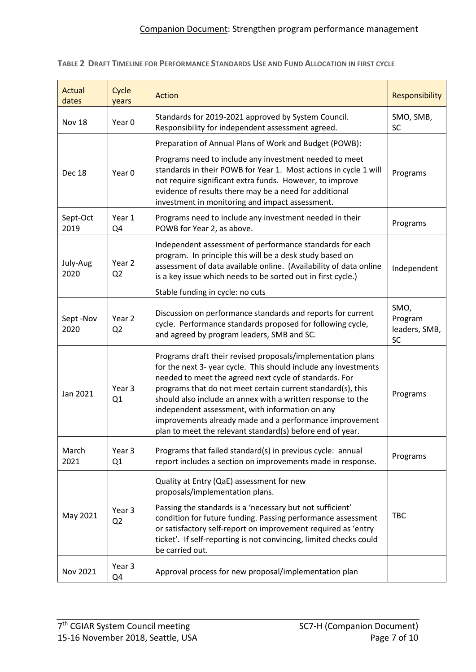<span id="page-6-0"></span>**TABLE 2 DRAFT TIMELINE FOR PERFORMANCE STANDARDS USE AND FUND ALLOCATION IN FIRST CYCLE**

| Actual<br>dates  | Cycle<br>years                      | <b>Action</b>                                                                                                                                                                                                                                                                                                                                                                                                                                                                                     | Responsibility                         |
|------------------|-------------------------------------|---------------------------------------------------------------------------------------------------------------------------------------------------------------------------------------------------------------------------------------------------------------------------------------------------------------------------------------------------------------------------------------------------------------------------------------------------------------------------------------------------|----------------------------------------|
| Nov 18           | Year 0                              | Standards for 2019-2021 approved by System Council.<br>Responsibility for independent assessment agreed.                                                                                                                                                                                                                                                                                                                                                                                          | SMO, SMB,<br><b>SC</b>                 |
| <b>Dec 18</b>    | Year 0                              | Preparation of Annual Plans of Work and Budget (POWB):<br>Programs need to include any investment needed to meet<br>standards in their POWB for Year 1. Most actions in cycle 1 will<br>not require significant extra funds. However, to improve<br>evidence of results there may be a need for additional<br>investment in monitoring and impact assessment.                                                                                                                                     | Programs                               |
| Sept-Oct<br>2019 | Year 1<br>Q4                        | Programs need to include any investment needed in their<br>POWB for Year 2, as above.                                                                                                                                                                                                                                                                                                                                                                                                             | Programs                               |
| July-Aug<br>2020 | Year <sub>2</sub><br>Q <sub>2</sub> | Independent assessment of performance standards for each<br>program. In principle this will be a desk study based on<br>assessment of data available online. (Availability of data online<br>is a key issue which needs to be sorted out in first cycle.)<br>Stable funding in cycle: no cuts                                                                                                                                                                                                     | Independent                            |
| Sept-Nov<br>2020 | Year 2<br>Q <sub>2</sub>            | Discussion on performance standards and reports for current<br>cycle. Performance standards proposed for following cycle,<br>and agreed by program leaders, SMB and SC.                                                                                                                                                                                                                                                                                                                           | SMO,<br>Program<br>leaders, SMB,<br>SC |
| Jan 2021         | Year 3<br>Q1                        | Programs draft their revised proposals/implementation plans<br>for the next 3- year cycle. This should include any investments<br>needed to meet the agreed next cycle of standards. For<br>programs that do not meet certain current standard(s), this<br>should also include an annex with a written response to the<br>independent assessment, with information on any<br>improvements already made and a performance improvement<br>plan to meet the relevant standard(s) before end of year. | Programs                               |
| March<br>2021    | Year 3<br>Q1                        | Programs that failed standard(s) in previous cycle: annual<br>report includes a section on improvements made in response.                                                                                                                                                                                                                                                                                                                                                                         | Programs                               |
| May 2021         | Year 3<br>Q <sub>2</sub>            | Quality at Entry (QaE) assessment for new<br>proposals/implementation plans.<br>Passing the standards is a 'necessary but not sufficient'<br>condition for future funding. Passing performance assessment<br>or satisfactory self-report on improvement required as 'entry<br>ticket'. If self-reporting is not convincing, limited checks could<br>be carried out.                                                                                                                               | <b>TBC</b>                             |
| Nov 2021         | Year 3<br>Q4                        | Approval process for new proposal/implementation plan                                                                                                                                                                                                                                                                                                                                                                                                                                             |                                        |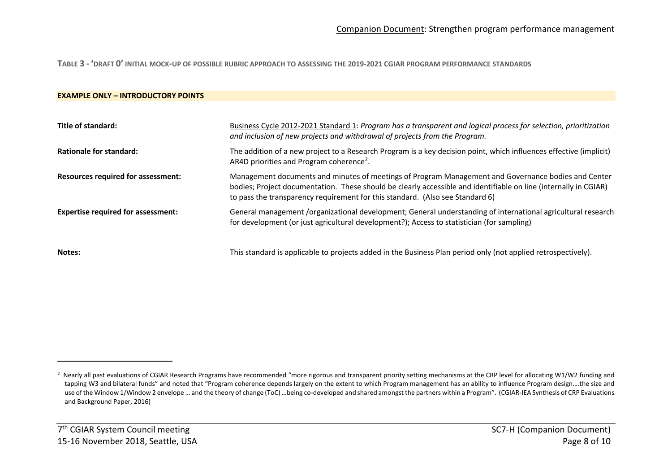<span id="page-7-0"></span>**TABLE 3 - 'DRAFT 0' INITIAL MOCK-UP OF POSSIBLE RUBRIC APPROACH TO ASSESSING THE 2019-2021 CGIAR PROGRAM PERFORMANCE STANDARDS**

#### **EXAMPLE ONLY – INTRODUCTORY POINTS**

| Title of standard:                        | Business Cycle 2012-2021 Standard 1: Program has a transparent and logical process for selection, prioritization<br>and inclusion of new projects and withdrawal of projects from the Program.                                                                                                           |
|-------------------------------------------|----------------------------------------------------------------------------------------------------------------------------------------------------------------------------------------------------------------------------------------------------------------------------------------------------------|
| Rationale for standard:                   | The addition of a new project to a Research Program is a key decision point, which influences effective (implicit)<br>AR4D priorities and Program coherence <sup>2</sup> .                                                                                                                               |
| <b>Resources required for assessment:</b> | Management documents and minutes of meetings of Program Management and Governance bodies and Center<br>bodies; Project documentation. These should be clearly accessible and identifiable on line (internally in CGIAR)<br>to pass the transparency requirement for this standard. (Also see Standard 6) |
| <b>Expertise required for assessment:</b> | General management /organizational development; General understanding of international agricultural research<br>for development (or just agricultural development?); Access to statistician (for sampling)                                                                                               |
| Notes:                                    | This standard is applicable to projects added in the Business Plan period only (not applied retrospectively).                                                                                                                                                                                            |

 $\overline{a}$ 

<sup>&</sup>lt;sup>2</sup> Nearly all past evaluations of CGIAR Research Programs have recommended "more rigorous and transparent priority setting mechanisms at the CRP level for allocating W1/W2 funding and tapping W3 and bilateral funds" and noted that "Program coherence depends largely on the extent to which Program management has an ability to influence Program design....the size and use of the Window 1/Window 2 envelope … and the theory of change (ToC) …being co-developed and shared amongst the partners within a Program". (CGIAR-IEA Synthesis of CRP Evaluations and Background Paper, 2016)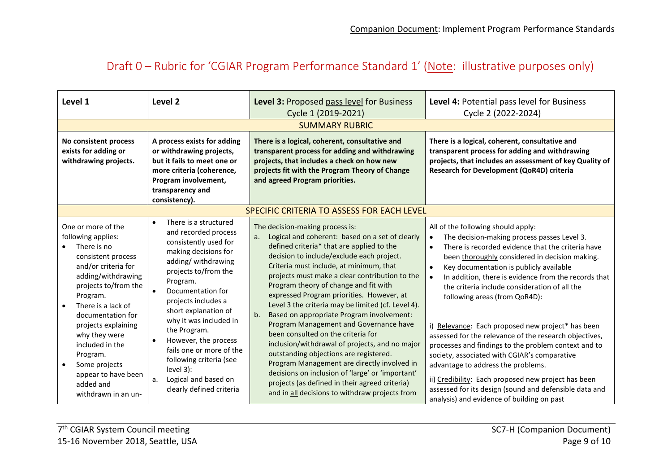### Draft 0 – Rubric for 'CGIAR Program Performance Standard 1' (Note: illustrative purposes only)

| Level 1                                                                                                                                                                                                                                                                                       | Level 2                                                                                                                                                                                                                                                                                                                                                            | Level 3: Proposed pass level for Business                                                                                                                                                                                                                                                                                                                                                                                                                                                                                                                                                                                                                              | Level 4: Potential pass level for Business                                                                                                                                                                                                                                                                                                                                                                                                                                                                                                                                                                                                               |  |
|-----------------------------------------------------------------------------------------------------------------------------------------------------------------------------------------------------------------------------------------------------------------------------------------------|--------------------------------------------------------------------------------------------------------------------------------------------------------------------------------------------------------------------------------------------------------------------------------------------------------------------------------------------------------------------|------------------------------------------------------------------------------------------------------------------------------------------------------------------------------------------------------------------------------------------------------------------------------------------------------------------------------------------------------------------------------------------------------------------------------------------------------------------------------------------------------------------------------------------------------------------------------------------------------------------------------------------------------------------------|----------------------------------------------------------------------------------------------------------------------------------------------------------------------------------------------------------------------------------------------------------------------------------------------------------------------------------------------------------------------------------------------------------------------------------------------------------------------------------------------------------------------------------------------------------------------------------------------------------------------------------------------------------|--|
|                                                                                                                                                                                                                                                                                               |                                                                                                                                                                                                                                                                                                                                                                    | Cycle 1 (2019-2021)                                                                                                                                                                                                                                                                                                                                                                                                                                                                                                                                                                                                                                                    | Cycle 2 (2022-2024)                                                                                                                                                                                                                                                                                                                                                                                                                                                                                                                                                                                                                                      |  |
| <b>SUMMARY RUBRIC</b>                                                                                                                                                                                                                                                                         |                                                                                                                                                                                                                                                                                                                                                                    |                                                                                                                                                                                                                                                                                                                                                                                                                                                                                                                                                                                                                                                                        |                                                                                                                                                                                                                                                                                                                                                                                                                                                                                                                                                                                                                                                          |  |
| No consistent process<br>exists for adding or<br>withdrawing projects.                                                                                                                                                                                                                        | A process exists for adding<br>or withdrawing projects,<br>but it fails to meet one or<br>more criteria (coherence,<br>Program involvement,<br>transparency and<br>consistency).                                                                                                                                                                                   | There is a logical, coherent, consultative and<br>transparent process for adding and withdrawing<br>projects, that includes a check on how new<br>projects fit with the Program Theory of Change<br>and agreed Program priorities.                                                                                                                                                                                                                                                                                                                                                                                                                                     | There is a logical, coherent, consultative and<br>transparent process for adding and withdrawing<br>projects, that includes an assessment of key Quality of<br>Research for Development (QoR4D) criteria                                                                                                                                                                                                                                                                                                                                                                                                                                                 |  |
|                                                                                                                                                                                                                                                                                               |                                                                                                                                                                                                                                                                                                                                                                    | SPECIFIC CRITERIA TO ASSESS FOR EACH LEVEL                                                                                                                                                                                                                                                                                                                                                                                                                                                                                                                                                                                                                             |                                                                                                                                                                                                                                                                                                                                                                                                                                                                                                                                                                                                                                                          |  |
| One or more of the<br>following applies:<br>There is no<br>consistent process<br>and/or criteria for<br>adding/withdrawing<br>projects to/from the<br>Program.<br>There is a lack of<br>$\bullet$<br>documentation for<br>projects explaining<br>why they were<br>included in the<br>Program. | There is a structured<br>$\bullet$<br>and recorded process<br>consistently used for<br>making decisions for<br>adding/withdrawing<br>projects to/from the<br>Program.<br>Documentation for<br>projects includes a<br>short explanation of<br>why it was included in<br>the Program.<br>However, the process<br>fails one or more of the<br>following criteria (see | The decision-making process is:<br>Logical and coherent: based on a set of clearly<br>a.<br>defined criteria* that are applied to the<br>decision to include/exclude each project.<br>Criteria must include, at minimum, that<br>projects must make a clear contribution to the<br>Program theory of change and fit with<br>expressed Program priorities. However, at<br>Level 3 the criteria may be limited (cf. Level 4).<br>Based on appropriate Program involvement:<br>b <sub>1</sub><br>Program Management and Governance have<br>been consulted on the criteria for<br>inclusion/withdrawal of projects, and no major<br>outstanding objections are registered. | All of the following should apply:<br>The decision-making process passes Level 3.<br>$\bullet$<br>There is recorded evidence that the criteria have<br>$\bullet$<br>been thoroughly considered in decision making.<br>Key documentation is publicly available<br>$\bullet$<br>In addition, there is evidence from the records that<br>$\bullet$<br>the criteria include consideration of all the<br>following areas (from QoR4D):<br>i) Relevance: Each proposed new project* has been<br>assessed for the relevance of the research objectives,<br>processes and findings to the problem context and to<br>society, associated with CGIAR's comparative |  |
| Some projects<br>$\bullet$<br>appear to have been<br>added and<br>withdrawn in an un-                                                                                                                                                                                                         | level 3):<br>Logical and based on<br>а.<br>clearly defined criteria                                                                                                                                                                                                                                                                                                | Program Management are directly involved in<br>decisions on inclusion of 'large' or 'important'<br>projects (as defined in their agreed criteria)<br>and in all decisions to withdraw projects from                                                                                                                                                                                                                                                                                                                                                                                                                                                                    | advantage to address the problems.<br>ii) Credibility: Each proposed new project has been<br>assessed for its design (sound and defensible data and<br>analysis) and evidence of building on past                                                                                                                                                                                                                                                                                                                                                                                                                                                        |  |